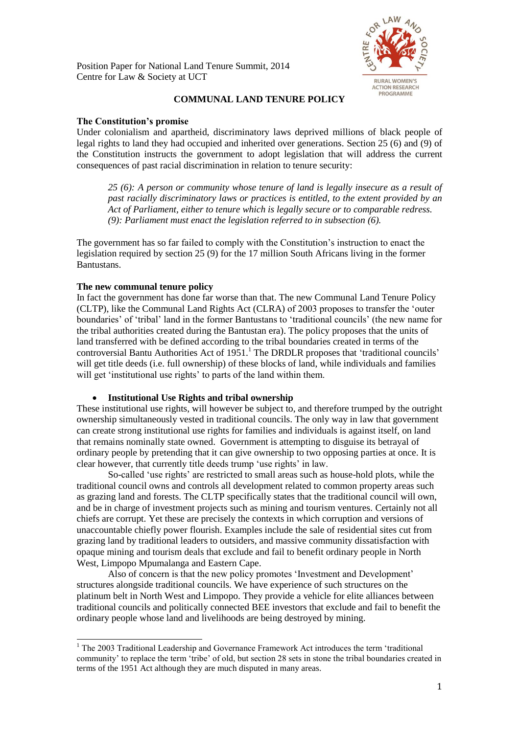Position Paper for National Land Tenure Summit, 2014 Centre for Law & Society at UCT



# **COMMUNAL LAND TENURE POLICY**

## **The Constitution's promise**

Under colonialism and apartheid, discriminatory laws deprived millions of black people of legal rights to land they had occupied and inherited over generations. Section 25 (6) and (9) of the Constitution instructs the government to adopt legislation that will address the current consequences of past racial discrimination in relation to tenure security:

*25 (6): A person or community whose tenure of land is legally insecure as a result of past racially discriminatory laws or practices is entitled, to the extent provided by an Act of Parliament, either to tenure which is legally secure or to comparable redress. (9): Parliament must enact the legislation referred to in subsection (6).*

The government has so far failed to comply with the Constitution's instruction to enact the legislation required by section 25 (9) for the 17 million South Africans living in the former Bantustans.

## **The new communal tenure policy**

l

In fact the government has done far worse than that. The new Communal Land Tenure Policy (CLTP), like the Communal Land Rights Act (CLRA) of 2003 proposes to transfer the 'outer boundaries' of 'tribal' land in the former Bantustans to 'traditional councils' (the new name for the tribal authorities created during the Bantustan era). The policy proposes that the units of land transferred with be defined according to the tribal boundaries created in terms of the controversial Bantu Authorities Act of 1951.<sup>1</sup> The DRDLR proposes that 'traditional councils' will get title deeds (i.e. full ownership) of these blocks of land, while individuals and families will get 'institutional use rights' to parts of the land within them.

## **Institutional Use Rights and tribal ownership**

These institutional use rights, will however be subject to, and therefore trumped by the outright ownership simultaneously vested in traditional councils. The only way in law that government can create strong institutional use rights for families and individuals is against itself, on land that remains nominally state owned. Government is attempting to disguise its betrayal of ordinary people by pretending that it can give ownership to two opposing parties at once. It is clear however, that currently title deeds trump 'use rights' in law.

So-called 'use rights' are restricted to small areas such as house-hold plots, while the traditional council owns and controls all development related to common property areas such as grazing land and forests. The CLTP specifically states that the traditional council will own, and be in charge of investment projects such as mining and tourism ventures. Certainly not all chiefs are corrupt. Yet these are precisely the contexts in which corruption and versions of unaccountable chiefly power flourish. Examples include the sale of residential sites cut from grazing land by traditional leaders to outsiders, and massive community dissatisfaction with opaque mining and tourism deals that exclude and fail to benefit ordinary people in North West, Limpopo Mpumalanga and Eastern Cape.

Also of concern is that the new policy promotes 'Investment and Development' structures alongside traditional councils. We have experience of such structures on the platinum belt in North West and Limpopo. They provide a vehicle for elite alliances between traditional councils and politically connected BEE investors that exclude and fail to benefit the ordinary people whose land and livelihoods are being destroyed by mining.

<sup>&</sup>lt;sup>1</sup> The 2003 Traditional Leadership and Governance Framework Act introduces the term 'traditional community' to replace the term 'tribe' of old, but section 28 sets in stone the tribal boundaries created in terms of the 1951 Act although they are much disputed in many areas.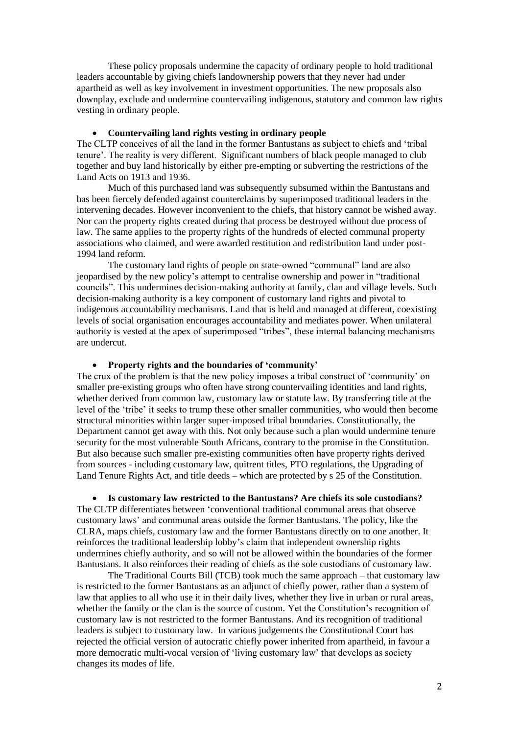These policy proposals undermine the capacity of ordinary people to hold traditional leaders accountable by giving chiefs landownership powers that they never had under apartheid as well as key involvement in investment opportunities. The new proposals also downplay, exclude and undermine countervailing indigenous, statutory and common law rights vesting in ordinary people.

### **Countervailing land rights vesting in ordinary people**

The CLTP conceives of all the land in the former Bantustans as subject to chiefs and 'tribal tenure'. The reality is very different. Significant numbers of black people managed to club together and buy land historically by either pre-empting or subverting the restrictions of the Land Acts on 1913 and 1936.

Much of this purchased land was subsequently subsumed within the Bantustans and has been fiercely defended against counterclaims by superimposed traditional leaders in the intervening decades. However inconvenient to the chiefs, that history cannot be wished away. Nor can the property rights created during that process be destroyed without due process of law. The same applies to the property rights of the hundreds of elected communal property associations who claimed, and were awarded restitution and redistribution land under post-1994 land reform.

The customary land rights of people on state-owned "communal" land are also jeopardised by the new policy's attempt to centralise ownership and power in "traditional councils". This undermines decision-making authority at family, clan and village levels. Such decision-making authority is a key component of customary land rights and pivotal to indigenous accountability mechanisms. Land that is held and managed at different, coexisting levels of social organisation encourages accountability and mediates power. When unilateral authority is vested at the apex of superimposed "tribes", these internal balancing mechanisms are undercut.

### **Property rights and the boundaries of 'community'**

The crux of the problem is that the new policy imposes a tribal construct of 'community' on smaller pre-existing groups who often have strong countervailing identities and land rights, whether derived from common law, customary law or statute law. By transferring title at the level of the 'tribe' it seeks to trump these other smaller communities, who would then become structural minorities within larger super-imposed tribal boundaries. Constitutionally, the Department cannot get away with this. Not only because such a plan would undermine tenure security for the most vulnerable South Africans, contrary to the promise in the Constitution. But also because such smaller pre-existing communities often have property rights derived from sources - including customary law, quitrent titles, PTO regulations, the Upgrading of Land Tenure Rights Act, and title deeds – which are protected by s 25 of the Constitution.

 **Is customary law restricted to the Bantustans? Are chiefs its sole custodians?** The CLTP differentiates between 'conventional traditional communal areas that observe

customary laws' and communal areas outside the former Bantustans. The policy, like the CLRA, maps chiefs, customary law and the former Bantustans directly on to one another. It reinforces the traditional leadership lobby's claim that independent ownership rights undermines chiefly authority, and so will not be allowed within the boundaries of the former Bantustans. It also reinforces their reading of chiefs as the sole custodians of customary law.

The Traditional Courts Bill (TCB) took much the same approach – that customary law is restricted to the former Bantustans as an adjunct of chiefly power, rather than a system of law that applies to all who use it in their daily lives, whether they live in urban or rural areas, whether the family or the clan is the source of custom. Yet the Constitution's recognition of customary law is not restricted to the former Bantustans. And its recognition of traditional leaders is subject to customary law. In various judgements the Constitutional Court has rejected the official version of autocratic chiefly power inherited from apartheid, in favour a more democratic multi-vocal version of 'living customary law' that develops as society changes its modes of life.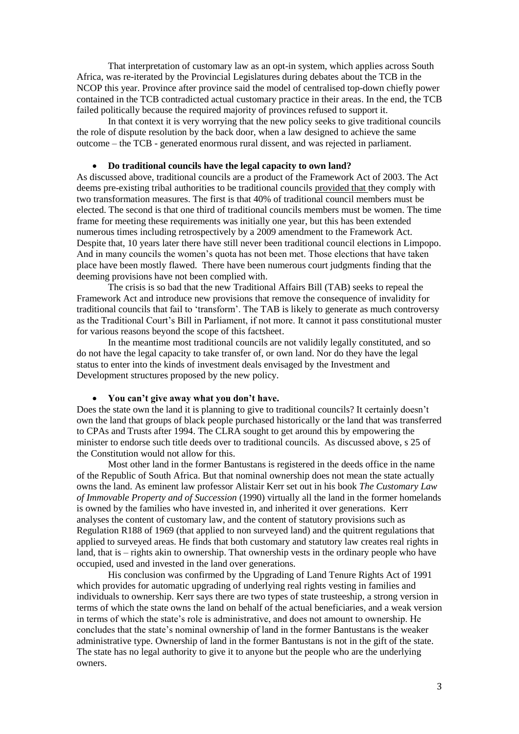That interpretation of customary law as an opt-in system, which applies across South Africa, was re-iterated by the Provincial Legislatures during debates about the TCB in the NCOP this year. Province after province said the model of centralised top-down chiefly power contained in the TCB contradicted actual customary practice in their areas. In the end, the TCB failed politically because the required majority of provinces refused to support it.

In that context it is very worrying that the new policy seeks to give traditional councils the role of dispute resolution by the back door, when a law designed to achieve the same outcome – the TCB - generated enormous rural dissent, and was rejected in parliament.

#### **Do traditional councils have the legal capacity to own land?**

As discussed above, traditional councils are a product of the Framework Act of 2003. The Act deems pre-existing tribal authorities to be traditional councils provided that they comply with two transformation measures. The first is that 40% of traditional council members must be elected. The second is that one third of traditional councils members must be women. The time frame for meeting these requirements was initially one year, but this has been extended numerous times including retrospectively by a 2009 amendment to the Framework Act. Despite that, 10 years later there have still never been traditional council elections in Limpopo. And in many councils the women's quota has not been met. Those elections that have taken place have been mostly flawed. There have been numerous court judgments finding that the deeming provisions have not been complied with.

The crisis is so bad that the new Traditional Affairs Bill (TAB) seeks to repeal the Framework Act and introduce new provisions that remove the consequence of invalidity for traditional councils that fail to 'transform'. The TAB is likely to generate as much controversy as the Traditional Court's Bill in Parliament, if not more. It cannot it pass constitutional muster for various reasons beyond the scope of this factsheet.

In the meantime most traditional councils are not validily legally constituted, and so do not have the legal capacity to take transfer of, or own land. Nor do they have the legal status to enter into the kinds of investment deals envisaged by the Investment and Development structures proposed by the new policy.

### **You can't give away what you don't have.**

Does the state own the land it is planning to give to traditional councils? It certainly doesn't own the land that groups of black people purchased historically or the land that was transferred to CPAs and Trusts after 1994. The CLRA sought to get around this by empowering the minister to endorse such title deeds over to traditional councils. As discussed above, s 25 of the Constitution would not allow for this.

Most other land in the former Bantustans is registered in the deeds office in the name of the Republic of South Africa. But that nominal ownership does not mean the state actually owns the land. As eminent law professor Alistair Kerr set out in his book *The Customary Law of Immovable Property and of Succession* (1990) virtually all the land in the former homelands is owned by the families who have invested in, and inherited it over generations. Kerr analyses the content of customary law, and the content of statutory provisions such as Regulation R188 of 1969 (that applied to non surveyed land) and the quitrent regulations that applied to surveyed areas. He finds that both customary and statutory law creates real rights in land, that is – rights akin to ownership. That ownership vests in the ordinary people who have occupied, used and invested in the land over generations.

His conclusion was confirmed by the Upgrading of Land Tenure Rights Act of 1991 which provides for automatic upgrading of underlying real rights vesting in families and individuals to ownership. Kerr says there are two types of state trusteeship, a strong version in terms of which the state owns the land on behalf of the actual beneficiaries, and a weak version in terms of which the state's role is administrative, and does not amount to ownership. He concludes that the state's nominal ownership of land in the former Bantustans is the weaker administrative type. Ownership of land in the former Bantustans is not in the gift of the state. The state has no legal authority to give it to anyone but the people who are the underlying owners.